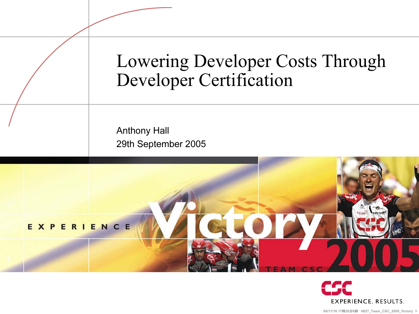



05/11/16 17時30**分6秒** 6827\_Team\_CSC\_2005\_Victory 1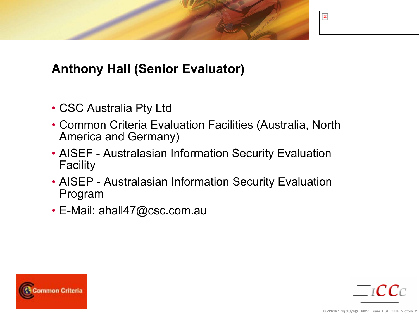

### Anthony Hall (Senior Evaluator)

- CSC Australia Pty Ltd
- Common Criteria Evaluation Facilities (Australia, North America and Germany)
- AISEF Australasian Information Security Evaluation Facility
- AISEP Australasian Information Security Evaluation Program
- E-Mail: ahall47@csc.com.au



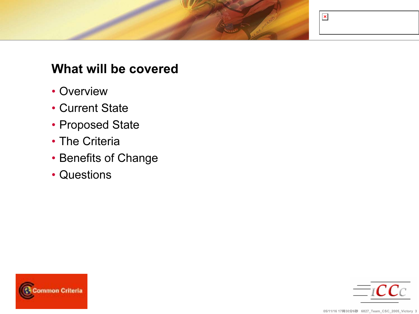

#### What will be covered

- Overview
- Current State
- Proposed State
- The Criteria
- Benefits of Change
- Questions



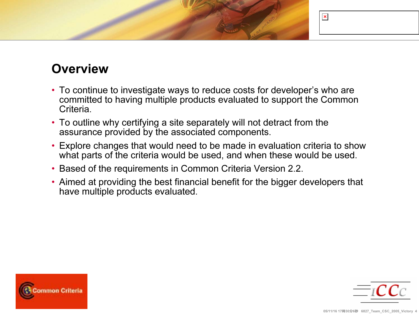# $\pmb{\times}$

### **Overview**

- To continue to investigate ways to reduce costs for developer's who are committed to having multiple products evaluated to support the Common Criteria.
- To outline why certifying a site separately will not detract from the assurance provided by the associated components.
- Explore changes that would need to be made in evaluation criteria to show what parts of the criteria would be used, and when these would be used.
- Based of the requirements in Common Criteria Version 2.2.
- Aimed at providing the best financial benefit for the bigger developers that have multiple products evaluated.



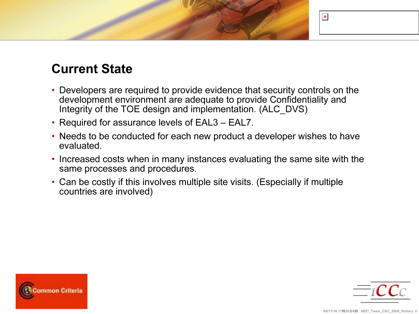

### Current State

- Developers are required to provide evidence that security controls on the development environment are adequate to provide Confidentiality and Integrity of the TOE design and implementation. (ALC\_DVS)
- Required for assurance levels of EAL3 EAL7.
- Needs to be conducted for each new product a developer wishes to have evaluated.
- Increased costs when in many instances evaluating the same site with the same processes and procedures.
- Can be costly if this involves multiple site visits. (Especially if multiple countries are involved)



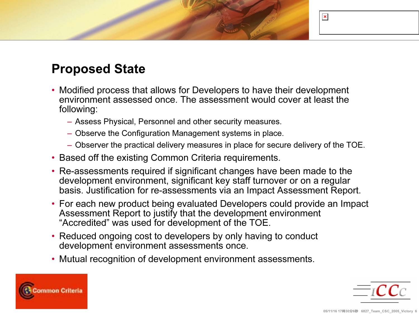# $\pmb{\times}$

### Proposed State

- Modified process that allows for Developers to have their development environment assessed once. The assessment would cover at least the following:
	- Assess Physical, Personnel and other security measures.
	- Observe the Configuration Management systems in place.
	- Observer the practical delivery measures in place for secure delivery of the TOE.
- Based off the existing Common Criteria requirements.
- Re-assessments required if significant changes have been made to the development environment, significant key staff turnover or on a regular basis. Justification for re-assessments via an Impact Assessment Report.
- For each new product being evaluated Developers could provide an Impact Assessment Report to justify that the development environment "Accredited" was used for development of the TOE.
- Reduced ongoing cost to developers by only having to conduct development environment assessments once.
- Mutual recognition of development environment assessments.



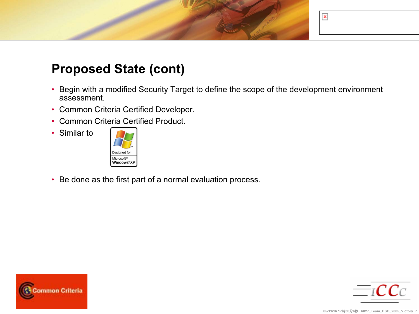

### Proposed State (cont)

- • Begin with a modified Security Target to define the scope of the development environment assessment.
- Common Criteria Certified Developer.
- Common Criteria Certified Product.
- Similar to



• Be done as the first part of a normal evaluation process.



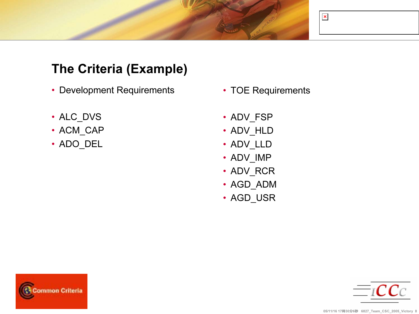

### The Criteria (Example)

- Development Requirements
- ALC\_DVS
- ACM\_CAP
- ADO\_DEL
- TOE Requirements
- ADV\_FSP
- ADV\_HLD
- ADV\_LLD
- ADV\_IMP
- ADV\_RCR
- AGD\_ADM
- AGD\_USR



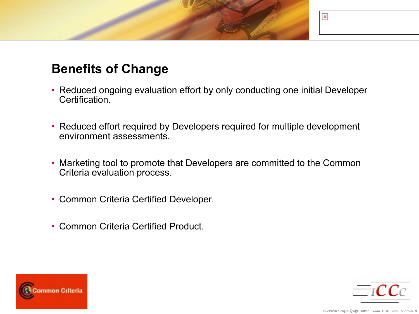

### Benefits of Change

- Reduced ongoing evaluation effort by only conducting one initial Developer Certification.
- Reduced effort required by Developers required for multiple development environment assessments.
- Marketing tool to promote that Developers are committed to the Common Criteria evaluation process.
- Common Criteria Certified Developer.
- Common Criteria Certified Product.